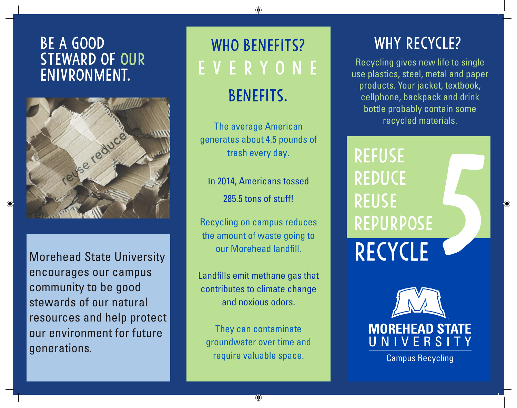#### be a good steward of our enivronment.



Morehead State University encourages our campus community to be good stewards of our natural resources and help protect our environment for future generations.

# WHO BENEFITS? everyone benefits.

The average American generates about 4.5 pounds of trash every day.

In 2014, Americans tossed 285.5 tons of stuff!

Recycling on campus reduces the amount of waste going to our Morehead landfill.

Landfills emit methane gas that contributes to climate change and noxious odors.

require valuable space. They can contaminate groundwater over time and

### WHY RECYCLE?

Recycling gives new life to single use plastics, steel, metal and paper products. Your jacket, textbook, cellphone, backpack and drink bottle probably contain some recycled materials.

REFUSE **REDUCE** REUSE REPURPOSE REFUSE<br>REDUCE<br>REUSE<br>REPURPOSE<br>**RECYCLE** 

**MOREHEAD STATE** UNIVERSITY

⊕

Campus Recycling